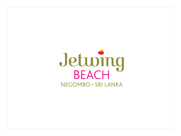# Jetuing NEGOMBO · SRI LANKA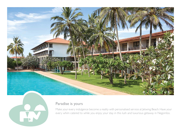



#### Paradise is yours

Make your every indulgence become a reality with personalised service at Jetwing Beach. Have your every whim catered to while you enjoy your stay in this lush and luxurious getaway in Negombo.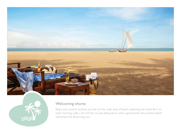



#### Welcoming shores

Relax and unwind anytime you like on the wide strip of beach adjoining the hotel. Be it an early morning walk, a bit of frolic or just sitting down with a good book, this pristine beach welcomes the discerning you.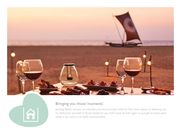



## Bringing you those 'moments'

Jetwing Beach remains an intimate and more private hotel for the mere reason of allowing you to rediscover yourself or those closest to you. Fall in love all over again or just get to know each other a lot more in an idyllic environment.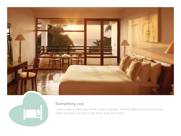



# Exemplifying cozy

Luxury meets homely. Enjoy all the modern amenities with that additional touch of warmth whilst you enjoy your stay at your home away from home.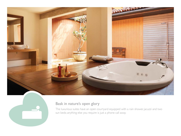



## Bask in nature's open glory

The luxurious suites have an open courtyard equipped with a rain shower, jacuzzi and two sun beds; anything else you require is just a phone call away.